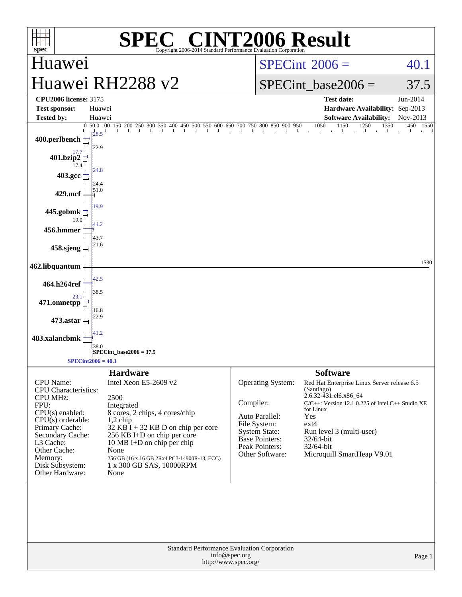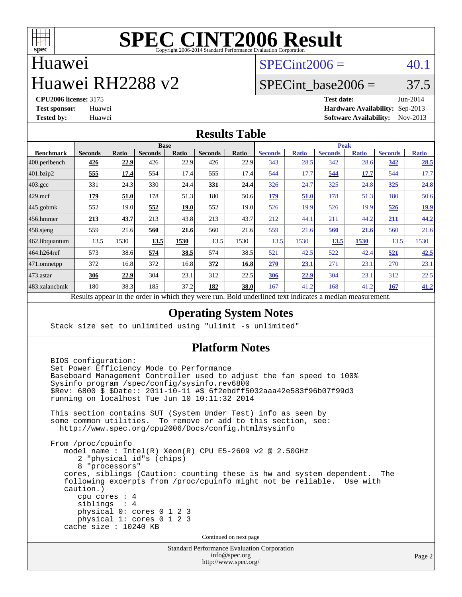

## Huawei

## Huawei RH2288 v2

 $SPECint2006 = 40.1$  $SPECint2006 = 40.1$ 

## SPECint base2006 =  $37.5$

**[CPU2006 license:](http://www.spec.org/auto/cpu2006/Docs/result-fields.html#CPU2006license)** 3175 **[Test date:](http://www.spec.org/auto/cpu2006/Docs/result-fields.html#Testdate)** Jun-2014 **[Test sponsor:](http://www.spec.org/auto/cpu2006/Docs/result-fields.html#Testsponsor)** Huawei **[Hardware Availability:](http://www.spec.org/auto/cpu2006/Docs/result-fields.html#HardwareAvailability)** Sep-2013 **[Tested by:](http://www.spec.org/auto/cpu2006/Docs/result-fields.html#Testedby)** Huawei **[Software Availability:](http://www.spec.org/auto/cpu2006/Docs/result-fields.html#SoftwareAvailability)** Nov-2013

#### **[Results Table](http://www.spec.org/auto/cpu2006/Docs/result-fields.html#ResultsTable)**

|                    | <b>Base</b>                                                                                                                                                                                    |       |                |       |                |       | <b>Peak</b>    |              |                |              |                |              |
|--------------------|------------------------------------------------------------------------------------------------------------------------------------------------------------------------------------------------|-------|----------------|-------|----------------|-------|----------------|--------------|----------------|--------------|----------------|--------------|
| <b>Benchmark</b>   | <b>Seconds</b>                                                                                                                                                                                 | Ratio | <b>Seconds</b> | Ratio | <b>Seconds</b> | Ratio | <b>Seconds</b> | <b>Ratio</b> | <b>Seconds</b> | <b>Ratio</b> | <b>Seconds</b> | <b>Ratio</b> |
| 400.perlbench      | 426                                                                                                                                                                                            | 22.9  | 426            | 22.9  | 426            | 22.9  | 343            | 28.5         | 342            | 28.6         | 342            | 28.5         |
| 401.bzip2          | 555                                                                                                                                                                                            | 17.4  | 554            | 17.4  | 555            | 17.4  | 544            | 17.7         | 544            | 17.7         | 544            | 17.7         |
| $403.\mathrm{gcc}$ | 331                                                                                                                                                                                            | 24.3  | 330            | 24.4  | 331            | 24.4  | 326            | 24.7         | 325            | 24.8         | 325            | 24.8         |
| $429$ .mcf         | <u>179</u>                                                                                                                                                                                     | 51.0  | 178            | 51.3  | 180            | 50.6  | <u>179</u>     | 51.0         | 178            | 51.3         | 180            | 50.6         |
| $445$ .gobmk       | 552                                                                                                                                                                                            | 19.0  | 552            | 19.0  | 552            | 19.0  | 526            | 19.9         | 526            | 19.9         | 526            | <u>19.9</u>  |
| 456.hmmer          | 213                                                                                                                                                                                            | 43.7  | 213            | 43.8  | 213            | 43.7  | 212            | 44.1         | 211            | 44.2         | 211            | 44.2         |
| $458$ .sjeng       | 559                                                                                                                                                                                            | 21.6  | 560            | 21.6  | 560            | 21.6  | 559            | 21.6         | 560            | 21.6         | 560            | 21.6         |
| 462.libquantum     | 13.5                                                                                                                                                                                           | 1530  | 13.5           | 1530  | 13.5           | 1530  | 13.5           | 1530         | 13.5           | 1530         | 13.5           | 1530         |
| 464.h264ref        | 573                                                                                                                                                                                            | 38.6  | 574            | 38.5  | 574            | 38.5  | 521            | 42.5         | 522            | 42.4         | 521            | 42.5         |
| 471.omnetpp        | 372                                                                                                                                                                                            | 16.8  | 372            | 16.8  | 372            | 16.8  | 270            | 23.1         | 271            | 23.1         | 270            | 23.1         |
| 473.astar          | 306                                                                                                                                                                                            | 22.9  | 304            | 23.1  | 312            | 22.5  | 306            | 22.9         | 304            | 23.1         | 312            | 22.5         |
| 483.xalancbmk      | 180                                                                                                                                                                                            | 38.3  | 185            | 37.2  | 182            | 38.0  | 167            | 41.2         | 168            | 41.2         | 167            | 41.2         |
|                    | 2.141<br>$-1.4 - 1.5 - 1.5 - 1.7$<br>$\mathbf{D}$ . $\mathbf{L}$ .<br>$\mathbf{D}$ and $\mathbf{A}$ and $\mathbf{A}$ and $\mathbf{A}$ are an $\mathbf{A}$ and $\mathbf{A}$ are an $\mathbf{A}$ |       |                |       |                |       |                |              |                |              |                |              |

Results appear in the [order in which they were run.](http://www.spec.org/auto/cpu2006/Docs/result-fields.html#RunOrder) Bold underlined text [indicates a median measurement.](http://www.spec.org/auto/cpu2006/Docs/result-fields.html#Median)

#### **[Operating System Notes](http://www.spec.org/auto/cpu2006/Docs/result-fields.html#OperatingSystemNotes)**

Stack size set to unlimited using "ulimit -s unlimited"

#### **[Platform Notes](http://www.spec.org/auto/cpu2006/Docs/result-fields.html#PlatformNotes)**

Standard Performance Evaluation Corporation BIOS configuration: Set Power Efficiency Mode to Performance Baseboard Management Controller used to adjust the fan speed to 100% Sysinfo program /spec/config/sysinfo.rev6800 \$Rev: 6800 \$ \$Date:: 2011-10-11 #\$ 6f2ebdff5032aaa42e583f96b07f99d3 running on localhost Tue Jun 10 10:11:32 2014 This section contains SUT (System Under Test) info as seen by some common utilities. To remove or add to this section, see: <http://www.spec.org/cpu2006/Docs/config.html#sysinfo> From /proc/cpuinfo model name : Intel(R) Xeon(R) CPU E5-2609 v2 @ 2.50GHz 2 "physical id"s (chips) 8 "processors" cores, siblings (Caution: counting these is hw and system dependent. The following excerpts from /proc/cpuinfo might not be reliable. Use with caution.) cpu cores : 4 siblings : 4 physical 0: cores 0 1 2 3 physical 1: cores 0 1 2 3 cache size : 10240 KB Continued on next page

[info@spec.org](mailto:info@spec.org) <http://www.spec.org/>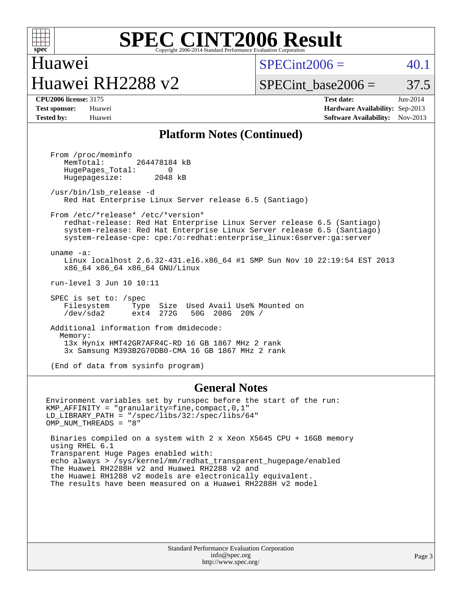

## Huawei Huawei RH2288 v2

 $SPECint2006 = 40.1$  $SPECint2006 = 40.1$ 

## SPECint base2006 =  $37.5$

**[CPU2006 license:](http://www.spec.org/auto/cpu2006/Docs/result-fields.html#CPU2006license)** 3175 **[Test date:](http://www.spec.org/auto/cpu2006/Docs/result-fields.html#Testdate)** Jun-2014 **[Test sponsor:](http://www.spec.org/auto/cpu2006/Docs/result-fields.html#Testsponsor)** Huawei **[Hardware Availability:](http://www.spec.org/auto/cpu2006/Docs/result-fields.html#HardwareAvailability)** Sep-2013 **[Tested by:](http://www.spec.org/auto/cpu2006/Docs/result-fields.html#Testedby)** Huawei **[Software Availability:](http://www.spec.org/auto/cpu2006/Docs/result-fields.html#SoftwareAvailability)** Nov-2013

#### **[Platform Notes \(Continued\)](http://www.spec.org/auto/cpu2006/Docs/result-fields.html#PlatformNotes)**

 From /proc/meminfo MemTotal: 264478184 kB HugePages\_Total: 0<br>Hugepagesize: 2048 kB Hugepagesize: /usr/bin/lsb\_release -d Red Hat Enterprise Linux Server release 6.5 (Santiago) From /etc/\*release\* /etc/\*version\* redhat-release: Red Hat Enterprise Linux Server release 6.5 (Santiago) system-release: Red Hat Enterprise Linux Server release 6.5 (Santiago) system-release-cpe: cpe:/o:redhat:enterprise\_linux:6server:ga:server uname -a: Linux localhost 2.6.32-431.el6.x86\_64 #1 SMP Sun Nov 10 22:19:54 EST 2013 x86\_64 x86\_64 x86\_64 GNU/Linux run-level 3 Jun 10 10:11 SPEC is set to: /spec Filesystem Type Size Used Avail Use% Mounted on<br>
/dev/sda2 ext4 272G 50G 208G 20% / /dev/sda2 ext4 272G 50G 208G 20% / Additional information from dmidecode: Memory: 13x Hynix HMT42GR7AFR4C-RD 16 GB 1867 MHz 2 rank 3x Samsung M393B2G70DB0-CMA 16 GB 1867 MHz 2 rank

(End of data from sysinfo program)

#### **[General Notes](http://www.spec.org/auto/cpu2006/Docs/result-fields.html#GeneralNotes)**

Environment variables set by runspec before the start of the run: KMP\_AFFINITY = "granularity=fine,compact,0,1" LD\_LIBRARY\_PATH = "/spec/libs/32:/spec/libs/64" OMP\_NUM\_THREADS = "8"

 Binaries compiled on a system with 2 x Xeon X5645 CPU + 16GB memory using RHEL 6.1 Transparent Huge Pages enabled with: echo always > /sys/kernel/mm/redhat\_transparent\_hugepage/enabled The Huawei RH2288H v2 and Huawei RH2288 v2 and the Huawei RH1288 v2 models are electronically equivalent. The results have been measured on a Huawei RH2288H v2 model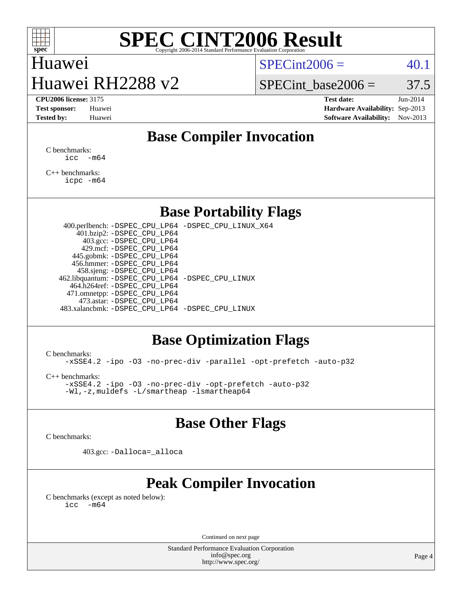

## Huawei Huawei RH2288 v2

 $SPECint2006 = 40.1$  $SPECint2006 = 40.1$ 

SPECint base2006 =  $37.5$ 

**[CPU2006 license:](http://www.spec.org/auto/cpu2006/Docs/result-fields.html#CPU2006license)** 3175 **[Test date:](http://www.spec.org/auto/cpu2006/Docs/result-fields.html#Testdate)** Jun-2014 **[Test sponsor:](http://www.spec.org/auto/cpu2006/Docs/result-fields.html#Testsponsor)** Huawei **[Hardware Availability:](http://www.spec.org/auto/cpu2006/Docs/result-fields.html#HardwareAvailability)** Sep-2013 **[Tested by:](http://www.spec.org/auto/cpu2006/Docs/result-fields.html#Testedby)** Huawei **[Software Availability:](http://www.spec.org/auto/cpu2006/Docs/result-fields.html#SoftwareAvailability)** Nov-2013

## **[Base Compiler Invocation](http://www.spec.org/auto/cpu2006/Docs/result-fields.html#BaseCompilerInvocation)**

[C benchmarks](http://www.spec.org/auto/cpu2006/Docs/result-fields.html#Cbenchmarks):  $\text{icc}$   $-\text{m64}$ 

[C++ benchmarks:](http://www.spec.org/auto/cpu2006/Docs/result-fields.html#CXXbenchmarks) [icpc -m64](http://www.spec.org/cpu2006/results/res2014q3/cpu2006-20140612-29894.flags.html#user_CXXbase_intel_icpc_64bit_fc66a5337ce925472a5c54ad6a0de310)

### **[Base Portability Flags](http://www.spec.org/auto/cpu2006/Docs/result-fields.html#BasePortabilityFlags)**

 400.perlbench: [-DSPEC\\_CPU\\_LP64](http://www.spec.org/cpu2006/results/res2014q3/cpu2006-20140612-29894.flags.html#b400.perlbench_basePORTABILITY_DSPEC_CPU_LP64) [-DSPEC\\_CPU\\_LINUX\\_X64](http://www.spec.org/cpu2006/results/res2014q3/cpu2006-20140612-29894.flags.html#b400.perlbench_baseCPORTABILITY_DSPEC_CPU_LINUX_X64) 401.bzip2: [-DSPEC\\_CPU\\_LP64](http://www.spec.org/cpu2006/results/res2014q3/cpu2006-20140612-29894.flags.html#suite_basePORTABILITY401_bzip2_DSPEC_CPU_LP64) 403.gcc: [-DSPEC\\_CPU\\_LP64](http://www.spec.org/cpu2006/results/res2014q3/cpu2006-20140612-29894.flags.html#suite_basePORTABILITY403_gcc_DSPEC_CPU_LP64) 429.mcf: [-DSPEC\\_CPU\\_LP64](http://www.spec.org/cpu2006/results/res2014q3/cpu2006-20140612-29894.flags.html#suite_basePORTABILITY429_mcf_DSPEC_CPU_LP64) 445.gobmk: [-DSPEC\\_CPU\\_LP64](http://www.spec.org/cpu2006/results/res2014q3/cpu2006-20140612-29894.flags.html#suite_basePORTABILITY445_gobmk_DSPEC_CPU_LP64) 456.hmmer: [-DSPEC\\_CPU\\_LP64](http://www.spec.org/cpu2006/results/res2014q3/cpu2006-20140612-29894.flags.html#suite_basePORTABILITY456_hmmer_DSPEC_CPU_LP64) 458.sjeng: [-DSPEC\\_CPU\\_LP64](http://www.spec.org/cpu2006/results/res2014q3/cpu2006-20140612-29894.flags.html#suite_basePORTABILITY458_sjeng_DSPEC_CPU_LP64) 462.libquantum: [-DSPEC\\_CPU\\_LP64](http://www.spec.org/cpu2006/results/res2014q3/cpu2006-20140612-29894.flags.html#suite_basePORTABILITY462_libquantum_DSPEC_CPU_LP64) [-DSPEC\\_CPU\\_LINUX](http://www.spec.org/cpu2006/results/res2014q3/cpu2006-20140612-29894.flags.html#b462.libquantum_baseCPORTABILITY_DSPEC_CPU_LINUX) 464.h264ref: [-DSPEC\\_CPU\\_LP64](http://www.spec.org/cpu2006/results/res2014q3/cpu2006-20140612-29894.flags.html#suite_basePORTABILITY464_h264ref_DSPEC_CPU_LP64) 471.omnetpp: [-DSPEC\\_CPU\\_LP64](http://www.spec.org/cpu2006/results/res2014q3/cpu2006-20140612-29894.flags.html#suite_basePORTABILITY471_omnetpp_DSPEC_CPU_LP64) 473.astar: [-DSPEC\\_CPU\\_LP64](http://www.spec.org/cpu2006/results/res2014q3/cpu2006-20140612-29894.flags.html#suite_basePORTABILITY473_astar_DSPEC_CPU_LP64) 483.xalancbmk: [-DSPEC\\_CPU\\_LP64](http://www.spec.org/cpu2006/results/res2014q3/cpu2006-20140612-29894.flags.html#suite_basePORTABILITY483_xalancbmk_DSPEC_CPU_LP64) [-DSPEC\\_CPU\\_LINUX](http://www.spec.org/cpu2006/results/res2014q3/cpu2006-20140612-29894.flags.html#b483.xalancbmk_baseCXXPORTABILITY_DSPEC_CPU_LINUX)

### **[Base Optimization Flags](http://www.spec.org/auto/cpu2006/Docs/result-fields.html#BaseOptimizationFlags)**

[C benchmarks](http://www.spec.org/auto/cpu2006/Docs/result-fields.html#Cbenchmarks):

[-xSSE4.2](http://www.spec.org/cpu2006/results/res2014q3/cpu2006-20140612-29894.flags.html#user_CCbase_f-xSSE42_f91528193cf0b216347adb8b939d4107) [-ipo](http://www.spec.org/cpu2006/results/res2014q3/cpu2006-20140612-29894.flags.html#user_CCbase_f-ipo) [-O3](http://www.spec.org/cpu2006/results/res2014q3/cpu2006-20140612-29894.flags.html#user_CCbase_f-O3) [-no-prec-div](http://www.spec.org/cpu2006/results/res2014q3/cpu2006-20140612-29894.flags.html#user_CCbase_f-no-prec-div) [-parallel](http://www.spec.org/cpu2006/results/res2014q3/cpu2006-20140612-29894.flags.html#user_CCbase_f-parallel) [-opt-prefetch](http://www.spec.org/cpu2006/results/res2014q3/cpu2006-20140612-29894.flags.html#user_CCbase_f-opt-prefetch) [-auto-p32](http://www.spec.org/cpu2006/results/res2014q3/cpu2006-20140612-29894.flags.html#user_CCbase_f-auto-p32)

[C++ benchmarks:](http://www.spec.org/auto/cpu2006/Docs/result-fields.html#CXXbenchmarks)

[-xSSE4.2](http://www.spec.org/cpu2006/results/res2014q3/cpu2006-20140612-29894.flags.html#user_CXXbase_f-xSSE42_f91528193cf0b216347adb8b939d4107) [-ipo](http://www.spec.org/cpu2006/results/res2014q3/cpu2006-20140612-29894.flags.html#user_CXXbase_f-ipo) [-O3](http://www.spec.org/cpu2006/results/res2014q3/cpu2006-20140612-29894.flags.html#user_CXXbase_f-O3) [-no-prec-div](http://www.spec.org/cpu2006/results/res2014q3/cpu2006-20140612-29894.flags.html#user_CXXbase_f-no-prec-div) [-opt-prefetch](http://www.spec.org/cpu2006/results/res2014q3/cpu2006-20140612-29894.flags.html#user_CXXbase_f-opt-prefetch) [-auto-p32](http://www.spec.org/cpu2006/results/res2014q3/cpu2006-20140612-29894.flags.html#user_CXXbase_f-auto-p32) [-Wl,-z,muldefs](http://www.spec.org/cpu2006/results/res2014q3/cpu2006-20140612-29894.flags.html#user_CXXbase_link_force_multiple1_74079c344b956b9658436fd1b6dd3a8a) [-L/smartheap -lsmartheap64](http://www.spec.org/cpu2006/results/res2014q3/cpu2006-20140612-29894.flags.html#user_CXXbase_SmartHeap64_5e654037dadeae1fe403ab4b4466e60b)

### **[Base Other Flags](http://www.spec.org/auto/cpu2006/Docs/result-fields.html#BaseOtherFlags)**

[C benchmarks](http://www.spec.org/auto/cpu2006/Docs/result-fields.html#Cbenchmarks):

403.gcc: [-Dalloca=\\_alloca](http://www.spec.org/cpu2006/results/res2014q3/cpu2006-20140612-29894.flags.html#b403.gcc_baseEXTRA_CFLAGS_Dalloca_be3056838c12de2578596ca5467af7f3)

## **[Peak Compiler Invocation](http://www.spec.org/auto/cpu2006/Docs/result-fields.html#PeakCompilerInvocation)**

[C benchmarks \(except as noted below\)](http://www.spec.org/auto/cpu2006/Docs/result-fields.html#Cbenchmarksexceptasnotedbelow):  $\text{icc}$  -m64

Continued on next page

Standard Performance Evaluation Corporation [info@spec.org](mailto:info@spec.org) <http://www.spec.org/>

Page 4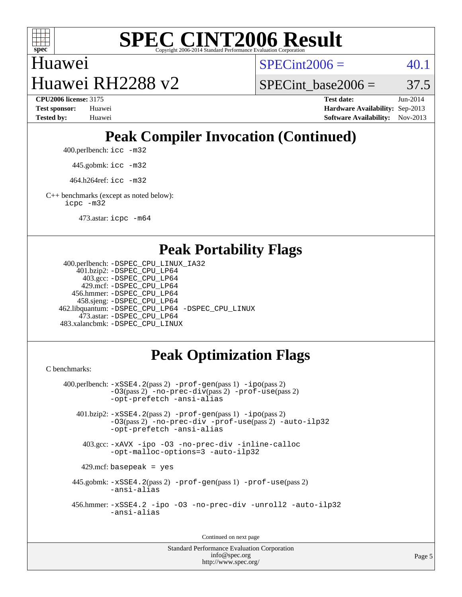

## Huawei

 $SPECint2006 = 40.1$  $SPECint2006 = 40.1$ 

Huawei RH2288 v2

SPECint base2006 =  $37.5$ **[CPU2006 license:](http://www.spec.org/auto/cpu2006/Docs/result-fields.html#CPU2006license)** 3175 **[Test date:](http://www.spec.org/auto/cpu2006/Docs/result-fields.html#Testdate)** Jun-2014 **[Test sponsor:](http://www.spec.org/auto/cpu2006/Docs/result-fields.html#Testsponsor)** Huawei **[Hardware Availability:](http://www.spec.org/auto/cpu2006/Docs/result-fields.html#HardwareAvailability)** Sep-2013

## **[Peak Compiler Invocation \(Continued\)](http://www.spec.org/auto/cpu2006/Docs/result-fields.html#PeakCompilerInvocation)**

**[Tested by:](http://www.spec.org/auto/cpu2006/Docs/result-fields.html#Testedby)** Huawei **[Software Availability:](http://www.spec.org/auto/cpu2006/Docs/result-fields.html#SoftwareAvailability)** Nov-2013

400.perlbench: [icc -m32](http://www.spec.org/cpu2006/results/res2014q3/cpu2006-20140612-29894.flags.html#user_peakCCLD400_perlbench_intel_icc_a6a621f8d50482236b970c6ac5f55f93)

445.gobmk: [icc -m32](http://www.spec.org/cpu2006/results/res2014q3/cpu2006-20140612-29894.flags.html#user_peakCCLD445_gobmk_intel_icc_a6a621f8d50482236b970c6ac5f55f93)

464.h264ref: [icc -m32](http://www.spec.org/cpu2006/results/res2014q3/cpu2006-20140612-29894.flags.html#user_peakCCLD464_h264ref_intel_icc_a6a621f8d50482236b970c6ac5f55f93)

[C++ benchmarks \(except as noted below\):](http://www.spec.org/auto/cpu2006/Docs/result-fields.html#CXXbenchmarksexceptasnotedbelow) [icpc -m32](http://www.spec.org/cpu2006/results/res2014q3/cpu2006-20140612-29894.flags.html#user_CXXpeak_intel_icpc_4e5a5ef1a53fd332b3c49e69c3330699)

473.astar: [icpc -m64](http://www.spec.org/cpu2006/results/res2014q3/cpu2006-20140612-29894.flags.html#user_peakCXXLD473_astar_intel_icpc_64bit_fc66a5337ce925472a5c54ad6a0de310)

#### **[Peak Portability Flags](http://www.spec.org/auto/cpu2006/Docs/result-fields.html#PeakPortabilityFlags)**

```
 400.perlbench: -DSPEC_CPU_LINUX_IA32
     401.bzip2: -DSPEC_CPU_LP64
       403.gcc: -DSPEC_CPU_LP64
      429.mcf: -DSPEC_CPU_LP64
    456.hmmer: -DSPEC_CPU_LP64
     458.sjeng: -DSPEC_CPU_LP64
 462.libquantum: -DSPEC_CPU_LP64 -DSPEC_CPU_LINUX
      473.astar: -DSPEC_CPU_LP64
 483.xalancbmk: -DSPEC_CPU_LINUX
```
## **[Peak Optimization Flags](http://www.spec.org/auto/cpu2006/Docs/result-fields.html#PeakOptimizationFlags)**

[C benchmarks](http://www.spec.org/auto/cpu2006/Docs/result-fields.html#Cbenchmarks):

```
 400.perlbench: -xSSE4.2(pass 2) -prof-gen(pass 1) -ipo(pass 2)
            -O3(pass 2) -no-prec-div(pass 2) -prof-use(pass 2)
           -opt-prefetch -ansi-alias
    401.bzip2: -xSSE4.2(pass 2) -prof-gen(pass 1) -ipo(pass 2)
            -O3(pass 2) -no-prec-div -prof-use(pass 2) -auto-ilp32
            -opt-prefetch -ansi-alias
     403.gcc: -xAVX -ipo -O3 -no-prec-div -inline-calloc
            -opt-malloc-options=3 -auto-ilp32
    429.mcf: basepeak = yes
   445.gobmk: -xSSE4.2(pass 2) -prof-gen(pass 1) -prof-use(pass 2)
            -ansi-alias
   456.hmmer: -xSSE4.2 -ipo -O3 -no-prec-div -unroll2 -auto-ilp32
            -ansi-alias
```
Continued on next page

Standard Performance Evaluation Corporation [info@spec.org](mailto:info@spec.org) <http://www.spec.org/>